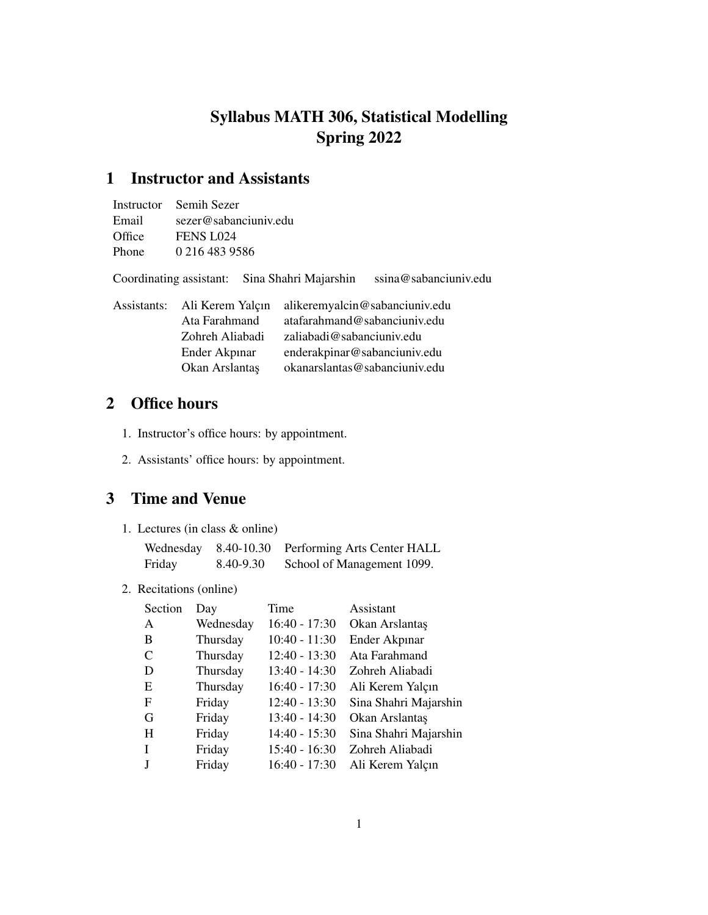# Syllabus MATH 306, Statistical Modelling Spring 2022

# 1 Instructor and Assistants

|        | Instructor Semih Sezer |
|--------|------------------------|
| Email  | sezer@sabanciuniv.edu  |
| Office | <b>FENS L024</b>       |
| Phone  | 0 216 483 9586         |

Coordinating assistant: Sina Shahri Majarshin ssina@sabanciuniv.edu

| Assistants: Ali Kerem Yalçın | alikeremyalcin@sabanciuniv.edu |  |
|------------------------------|--------------------------------|--|
| Ata Farahmand                | atafarahmand@sabanciuniv.edu   |  |
| Zohreh Aliabadi              | zaliabadi@sabanciuniv.edu      |  |
| Ender Akpinar                | enderakpinar@sabanciuniv.edu   |  |
| Okan Arslantaş               | okanarslantas@sabanciuniv.edu  |  |

# 2 Office hours

- 1. Instructor's office hours: by appointment.
- 2. Assistants' office hours: by appointment.

# 3 Time and Venue

1. Lectures (in class & online)

| Wednesday |           | 8.40-10.30 Performing Arts Center HALL |
|-----------|-----------|----------------------------------------|
| Friday    | 8.40-9.30 | School of Management 1099.             |

2. Recitations (online)

| Section | Day       | Time            | Assistant             |
|---------|-----------|-----------------|-----------------------|
| A       | Wednesday | 16:40 - 17:30   | Okan Arslantaş        |
| В       | Thursday  | $10:40 - 11:30$ | Ender Akpınar         |
| C       | Thursday  | $12:40 - 13:30$ | Ata Farahmand         |
| D       | Thursday  | $13:40 - 14:30$ | Zohreh Aliabadi       |
| E       | Thursday  | $16:40 - 17:30$ | Ali Kerem Yalçın      |
| F       | Friday    | $12:40 - 13:30$ | Sina Shahri Majarshin |
| G       | Friday    | 13:40 - 14:30   | Okan Arslantaş        |
| H       | Friday    | $14:40 - 15:30$ | Sina Shahri Majarshin |
|         | Friday    | $15:40 - 16:30$ | Zohreh Aliabadi       |
|         | Friday    | $16:40 - 17:30$ | Ali Kerem Yalçın      |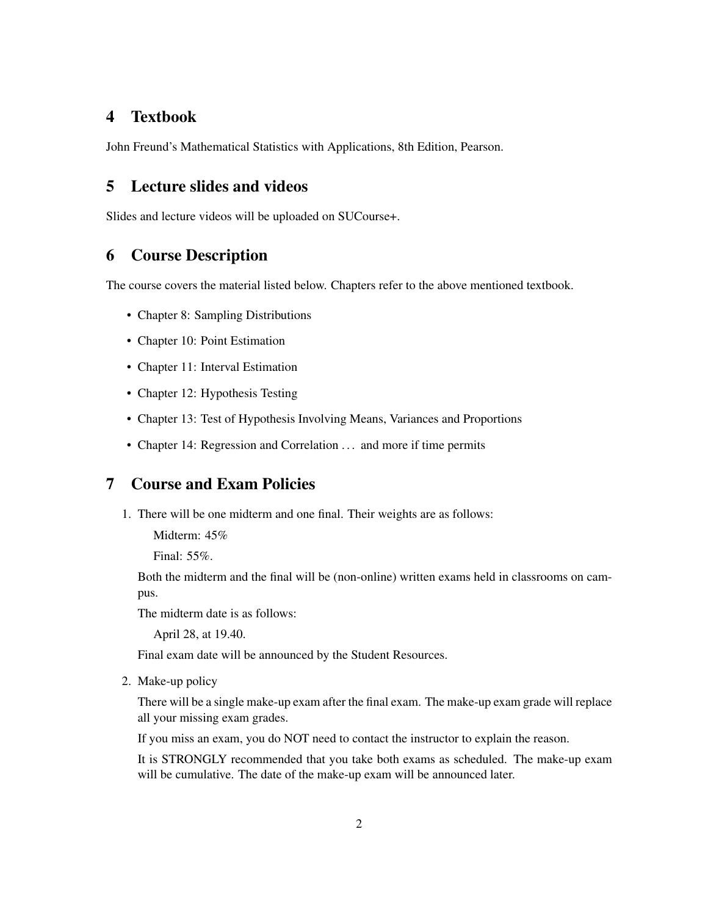### 4 Textbook

John Freund's Mathematical Statistics with Applications, 8th Edition, Pearson.

#### 5 Lecture slides and videos

Slides and lecture videos will be uploaded on SUCourse+.

## 6 Course Description

The course covers the material listed below. Chapters refer to the above mentioned textbook.

- Chapter 8: Sampling Distributions
- Chapter 10: Point Estimation
- Chapter 11: Interval Estimation
- Chapter 12: Hypothesis Testing
- Chapter 13: Test of Hypothesis Involving Means, Variances and Proportions
- Chapter 14: Regression and Correlation . . . and more if time permits

#### 7 Course and Exam Policies

1. There will be one midterm and one final. Their weights are as follows:

Midterm: 45%

Final:  $55\%$ 

Both the midterm and the final will be (non-online) written exams held in classrooms on campus.

The midterm date is as follows:

April 28, at 19.40.

Final exam date will be announced by the Student Resources.

2. Make-up policy

There will be a single make-up exam after the final exam. The make-up exam grade will replace all your missing exam grades.

If you miss an exam, you do NOT need to contact the instructor to explain the reason.

It is STRONGLY recommended that you take both exams as scheduled. The make-up exam will be cumulative. The date of the make-up exam will be announced later.